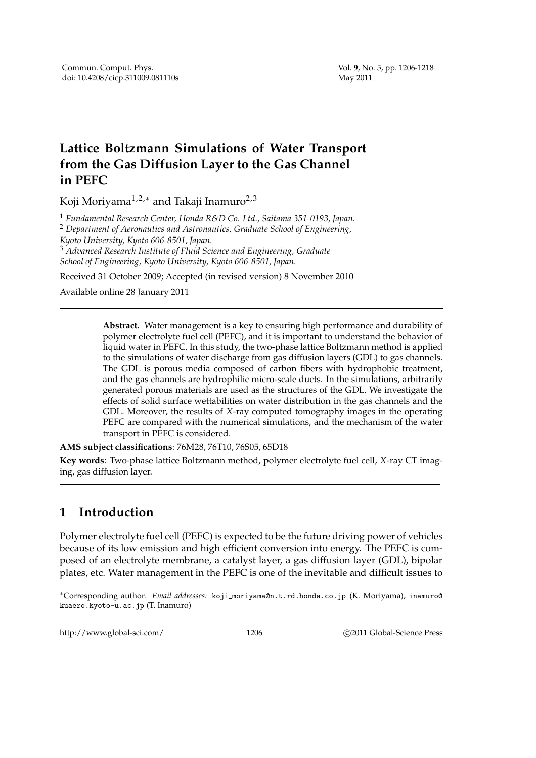## **Lattice Boltzmann Simulations of Water Transport from the Gas Diffusion Layer to the Gas Channel in PEFC**

Koji Moriyama<sup>1,2,∗</sup> and Takaji Inamuro<sup>2,3</sup>

<sup>1</sup> *Fundamental Research Center, Honda R&D Co. Ltd., Saitama 351-0193, Japan.*

<sup>2</sup> *Department of Aeronautics and Astronautics, Graduate School of Engineering, Kyoto University, Kyoto 606-8501, Japan.*

<sup>3</sup> *Advanced Research Institute of Fluid Science and Engineering, Graduate School of Engineering, Kyoto University, Kyoto 606-8501, Japan.*

Received 31 October 2009; Accepted (in revised version) 8 November 2010

Available online 28 January 2011

**Abstract.** Water management is a key to ensuring high performance and durability of polymer electrolyte fuel cell (PEFC), and it is important to understand the behavior of liquid water in PEFC. In this study, the two-phase lattice Boltzmann method is applied to the simulations of water discharge from gas diffusion layers (GDL) to gas channels. The GDL is porous media composed of carbon fibers with hydrophobic treatment, and the gas channels are hydrophilic micro-scale ducts. In the simulations, arbitrarily generated porous materials are used as the structures of the GDL. We investigate the effects of solid surface wettabilities on water distribution in the gas channels and the GDL. Moreover, the results of *X*-ray computed tomography images in the operating PEFC are compared with the numerical simulations, and the mechanism of the water transport in PEFC is considered.

**AMS subject classifications**: 76M28, 76T10, 76S05, 65D18

**Key words**: Two-phase lattice Boltzmann method, polymer electrolyte fuel cell, *X*-ray CT imaging, gas diffusion layer.

## **1 Introduction**

Polymer electrolyte fuel cell (PEFC) is expected to be the future driving power of vehicles because of its low emission and high efficient conversion into energy. The PEFC is composed of an electrolyte membrane, a catalyst layer, a gas diffusion layer (GDL), bipolar plates, etc. Water management in the PEFC is one of the inevitable and difficult issues to

http://www.global-sci.com/ 1206 c 2011 Global-Science Press

<sup>∗</sup>Corresponding author. *Email addresses:* koji moriyama@n.t.rd.honda.co.jp (K. Moriyama), inamuro@ kuaero.kyoto-u.ac.jp (T. Inamuro)